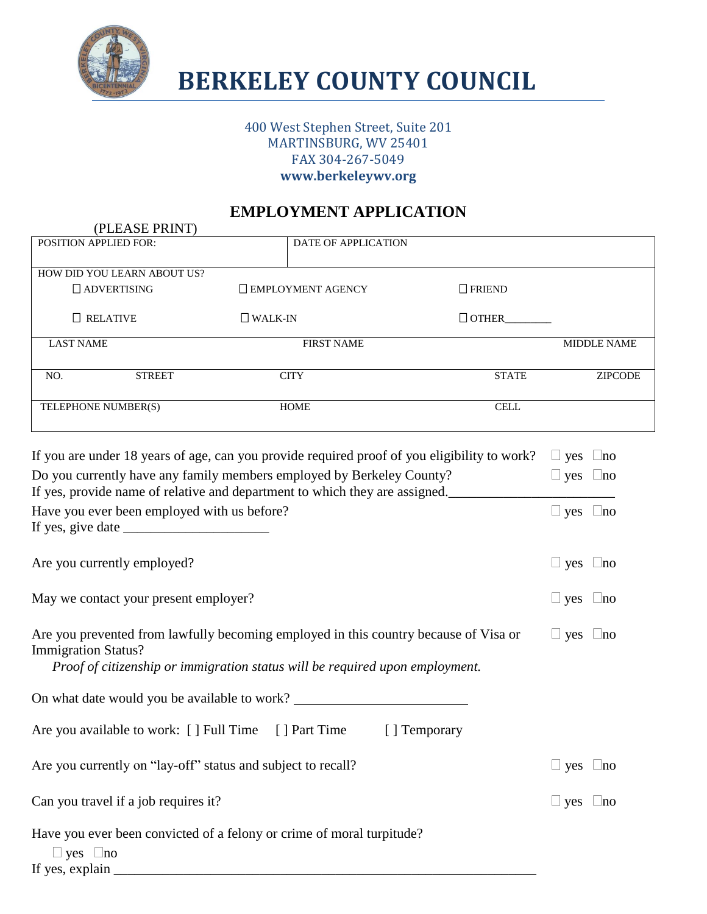

## **BERKELEY COUNTY COUNCIL**

#### 400 West Stephen Street, Suite 201 MARTINSBURG, WV 25401 FAX 304-267-5049 **www.berkeleywv.org**

#### **EMPLOYMENT APPLICATION**

| (PLEASE PRINT)                                               |                                                                                                                                                                      |               |                         |
|--------------------------------------------------------------|----------------------------------------------------------------------------------------------------------------------------------------------------------------------|---------------|-------------------------|
| POSITION APPLIED FOR:                                        | DATE OF APPLICATION                                                                                                                                                  |               |                         |
| HOW DID YOU LEARN ABOUT US?                                  |                                                                                                                                                                      |               |                         |
| <b>ADVERTISING</b>                                           | <b>EMPLOYMENT AGENCY</b>                                                                                                                                             | $\Box$ FRIEND |                         |
| $\Box$ RELATIVE                                              | $\Box$ WALK-IN                                                                                                                                                       |               |                         |
| <b>LAST NAME</b>                                             | <b>FIRST NAME</b>                                                                                                                                                    |               | <b>MIDDLE NAME</b>      |
| <b>STREET</b><br>NO.                                         | <b>CITY</b>                                                                                                                                                          | <b>STATE</b>  | <b>ZIPCODE</b>          |
| TELEPHONE NUMBER(S)                                          | <b>HOME</b>                                                                                                                                                          | <b>CELL</b>   |                         |
|                                                              | If you are under 18 years of age, can you provide required proof of you eligibility to work?                                                                         |               | $\Box$ yes<br>$\Box$ no |
|                                                              | Do you currently have any family members employed by Berkeley County?<br>If yes, provide name of relative and department to which they are assigned.                 |               | $\Box$ yes $\Box$ no    |
| Have you ever been employed with us before?                  |                                                                                                                                                                      |               | $\Box$ yes $\Box$ no    |
| Are you currently employed?                                  |                                                                                                                                                                      |               | $\Box$ yes $\Box$ no    |
| May we contact your present employer?                        |                                                                                                                                                                      |               | $\Box$ yes $\Box$ no    |
| <b>Immigration Status?</b>                                   | Are you prevented from lawfully becoming employed in this country because of Visa or<br>Proof of citizenship or immigration status will be required upon employment. |               | $\Box$ yes $\Box$ no    |
|                                                              | On what date would you be available to work?                                                                                                                         |               |                         |
| Are you available to work: [] Full Time                      | [ ] Part Time                                                                                                                                                        | ] Temporary   |                         |
| Are you currently on "lay-off" status and subject to recall? |                                                                                                                                                                      |               | $\Box$ yes $\Box$ no    |
| Can you travel if a job requires it?                         |                                                                                                                                                                      |               | $\Box$ yes $\Box$ no    |
| $\Box$ yes $\Box$ no                                         | Have you ever been convicted of a felony or crime of moral turpitude?                                                                                                |               |                         |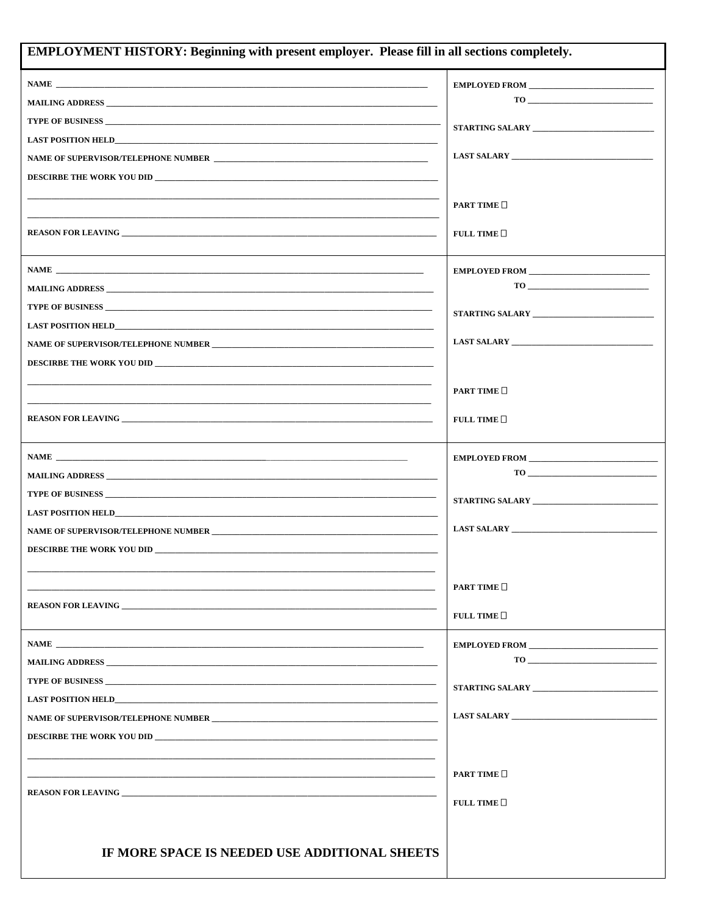| <b>EMPLOYMENT HISTORY: Beginning with present employer. Please fill in all sections completely.</b>                                                                                                                                  |                                                                                                                                                                                                                                                                                                                                                |  |
|--------------------------------------------------------------------------------------------------------------------------------------------------------------------------------------------------------------------------------------|------------------------------------------------------------------------------------------------------------------------------------------------------------------------------------------------------------------------------------------------------------------------------------------------------------------------------------------------|--|
| $\mathbf{NAME}$ $\blacksquare$                                                                                                                                                                                                       | EMPLOYED FROM                                                                                                                                                                                                                                                                                                                                  |  |
| MAILING ADDRESS AND A SERVICE OF THE CONTRACT OF THE CONTRACT OF THE CONTRACT OF THE CONTRACT OF THE CONTRACT OF THE CONTRACT OF THE CONTRACT OF THE CONTRACT OF THE CONTRACT OF THE CONTRACT OF THE CONTRACT OF THE CONTRACT        |                                                                                                                                                                                                                                                                                                                                                |  |
|                                                                                                                                                                                                                                      |                                                                                                                                                                                                                                                                                                                                                |  |
|                                                                                                                                                                                                                                      |                                                                                                                                                                                                                                                                                                                                                |  |
|                                                                                                                                                                                                                                      |                                                                                                                                                                                                                                                                                                                                                |  |
|                                                                                                                                                                                                                                      |                                                                                                                                                                                                                                                                                                                                                |  |
|                                                                                                                                                                                                                                      | PART TIME                                                                                                                                                                                                                                                                                                                                      |  |
|                                                                                                                                                                                                                                      |                                                                                                                                                                                                                                                                                                                                                |  |
|                                                                                                                                                                                                                                      | FULL TIME $\square$                                                                                                                                                                                                                                                                                                                            |  |
|                                                                                                                                                                                                                                      |                                                                                                                                                                                                                                                                                                                                                |  |
|                                                                                                                                                                                                                                      | EMPLOYED FROM                                                                                                                                                                                                                                                                                                                                  |  |
|                                                                                                                                                                                                                                      |                                                                                                                                                                                                                                                                                                                                                |  |
|                                                                                                                                                                                                                                      |                                                                                                                                                                                                                                                                                                                                                |  |
|                                                                                                                                                                                                                                      |                                                                                                                                                                                                                                                                                                                                                |  |
| DESCIRBE THE WORK YOU DID                                                                                                                                                                                                            |                                                                                                                                                                                                                                                                                                                                                |  |
|                                                                                                                                                                                                                                      |                                                                                                                                                                                                                                                                                                                                                |  |
|                                                                                                                                                                                                                                      | PART TIME                                                                                                                                                                                                                                                                                                                                      |  |
|                                                                                                                                                                                                                                      | FULL TIME $\square$                                                                                                                                                                                                                                                                                                                            |  |
|                                                                                                                                                                                                                                      |                                                                                                                                                                                                                                                                                                                                                |  |
|                                                                                                                                                                                                                                      | EMPLOYED FROM PROMETERS AND RESERVE AND RESERVE AND RESERVE AND RESERVE AND RESERVE AND RESERVE AND RESERVE AND RESERVE AND RESERVE AND RESERVE AND RESPONDING A SHAPE AND RESPONDING A SHAPE AND RESPONDING A SHAPE AND RESPO                                                                                                                 |  |
|                                                                                                                                                                                                                                      |                                                                                                                                                                                                                                                                                                                                                |  |
| TYPE OF BUSINESS <b>And the Contract of Contract Contract of Contract Contract Contract Of Contract Contract Of Contract Of Contract Of Contract Of Contract Of Contract Of Contract Of Contract Of Contract Of Contract Of Cont</b> |                                                                                                                                                                                                                                                                                                                                                |  |
|                                                                                                                                                                                                                                      |                                                                                                                                                                                                                                                                                                                                                |  |
|                                                                                                                                                                                                                                      |                                                                                                                                                                                                                                                                                                                                                |  |
| DESCIRBE THE WORK YOU DID                                                                                                                                                                                                            |                                                                                                                                                                                                                                                                                                                                                |  |
|                                                                                                                                                                                                                                      |                                                                                                                                                                                                                                                                                                                                                |  |
|                                                                                                                                                                                                                                      | <b>PART TIME</b>                                                                                                                                                                                                                                                                                                                               |  |
| <b>REASON FOR LEAVING</b>                                                                                                                                                                                                            | FULL TIME $\square$                                                                                                                                                                                                                                                                                                                            |  |
|                                                                                                                                                                                                                                      |                                                                                                                                                                                                                                                                                                                                                |  |
| MAILING ADDRESS AND RESERVE THE CONTROL OF THE CONTRACT OF THE CONTRACT OF THE CONTRACT OF THE CONTRACT OF THE                                                                                                                       | EMPLOYED FROM PROMETERS AND RESERVE AND RESERVE AND RESERVE AND RESERVE AND RESERVE AND RESERVE AND RESERVE AND RESERVE AND RESERVE AND RESERVE AND RESPONDING A SHOP AND RESPONDING A SHOP AND RESPONDING A SHOP AND RESPONDI<br>$\begin{tabular}{c} \hline \textbf{TO} & \textbf{---} & \textbf{---} & \textbf{---} \\ \hline \end{tabular}$ |  |
| <b>TYPE OF BUSINESS</b>                                                                                                                                                                                                              |                                                                                                                                                                                                                                                                                                                                                |  |
| LAST POSITION HELD <b>EXAMPLE 2008</b>                                                                                                                                                                                               |                                                                                                                                                                                                                                                                                                                                                |  |
| NAME OF SUPERVISOR/TELEPHONE NUMBER <b>And Experimental Contract Contract Contract Contract Contract Contract Contract Contract Contract Contract Contract Contract Contract Contract Contract Contract Contract Contract Contra</b> |                                                                                                                                                                                                                                                                                                                                                |  |
| DESCIRBE THE WORK YOU DID                                                                                                                                                                                                            |                                                                                                                                                                                                                                                                                                                                                |  |
|                                                                                                                                                                                                                                      |                                                                                                                                                                                                                                                                                                                                                |  |
|                                                                                                                                                                                                                                      | <b>PART TIME</b>                                                                                                                                                                                                                                                                                                                               |  |
|                                                                                                                                                                                                                                      |                                                                                                                                                                                                                                                                                                                                                |  |
|                                                                                                                                                                                                                                      | FULL TIME $\square$                                                                                                                                                                                                                                                                                                                            |  |
|                                                                                                                                                                                                                                      |                                                                                                                                                                                                                                                                                                                                                |  |
| IF MORE SPACE IS NEEDED USE ADDITIONAL SHEETS                                                                                                                                                                                        |                                                                                                                                                                                                                                                                                                                                                |  |
|                                                                                                                                                                                                                                      |                                                                                                                                                                                                                                                                                                                                                |  |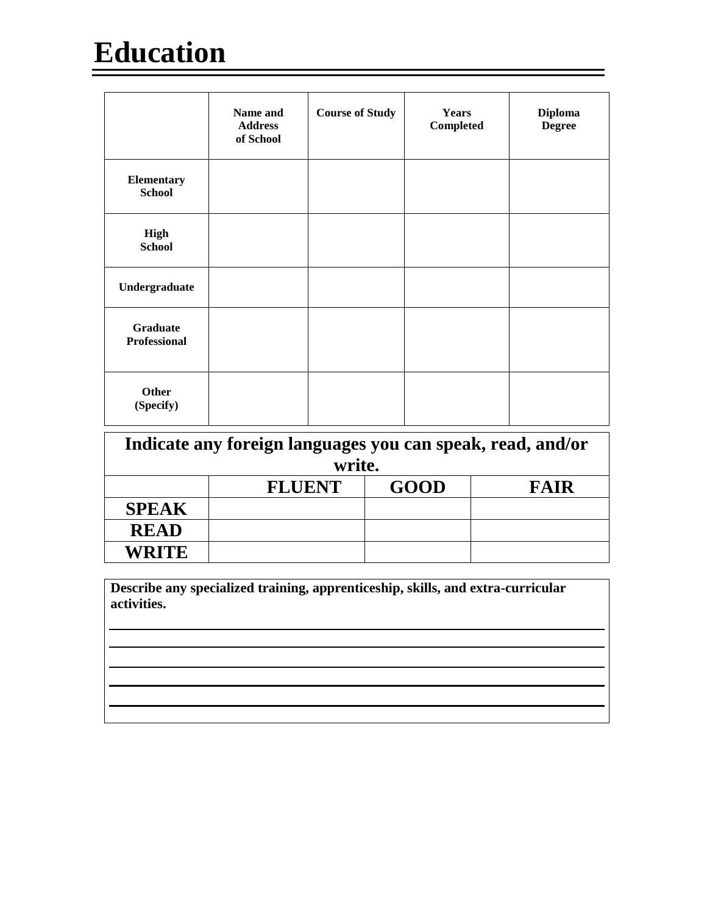# **Education**

|                                        | Name and<br><b>Address</b><br>of School | <b>Course of Study</b> | <b>Years</b><br><b>Completed</b> | <b>Diploma</b><br><b>Degree</b> |
|----------------------------------------|-----------------------------------------|------------------------|----------------------------------|---------------------------------|
| Elementary<br><b>School</b>            |                                         |                        |                                  |                                 |
| <b>High</b><br><b>School</b>           |                                         |                        |                                  |                                 |
| Undergraduate                          |                                         |                        |                                  |                                 |
| <b>Graduate</b><br><b>Professional</b> |                                         |                        |                                  |                                 |
| <b>Other</b><br>(Specify)              |                                         |                        |                                  |                                 |

| Indicate any foreign languages you can speak, read, and/or<br>write. |               |             |             |
|----------------------------------------------------------------------|---------------|-------------|-------------|
|                                                                      |               |             |             |
|                                                                      | <b>FLUENT</b> | <b>GOOD</b> | <b>FAIR</b> |
| <b>SPEAK</b>                                                         |               |             |             |
| <b>READ</b>                                                          |               |             |             |
| WRITE                                                                |               |             |             |

**Describe any specialized training, apprenticeship, skills, and extra-curricular activities.**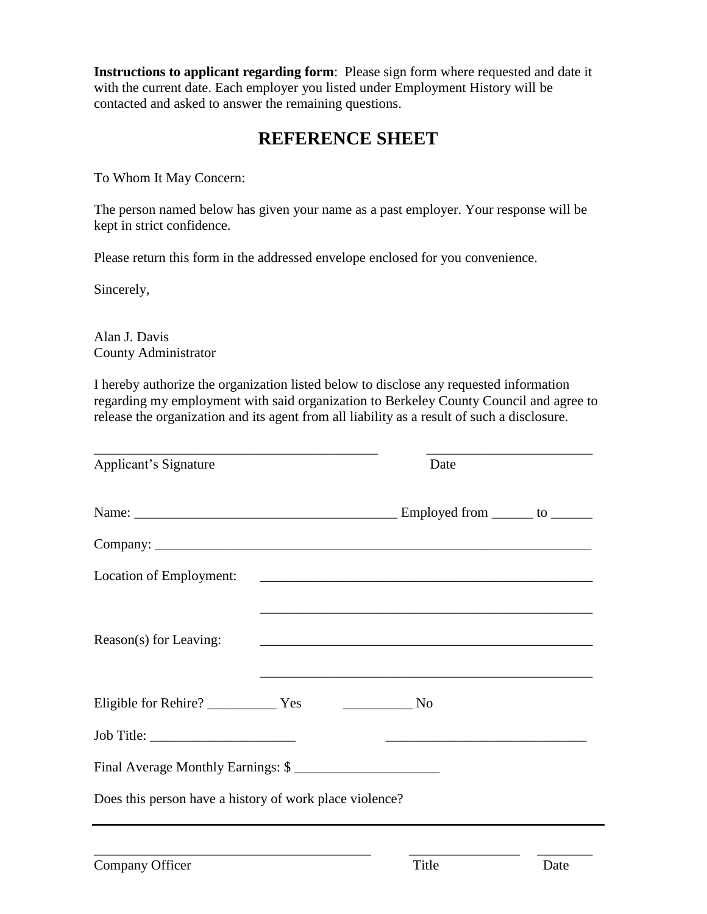**Instructions to applicant regarding form**: Please sign form where requested and date it with the current date. Each employer you listed under Employment History will be contacted and asked to answer the remaining questions.

#### **REFERENCE SHEET**

To Whom It May Concern:

The person named below has given your name as a past employer. Your response will be kept in strict confidence.

Please return this form in the addressed envelope enclosed for you convenience.

Sincerely,

Alan J. Davis County Administrator

I hereby authorize the organization listed below to disclose any requested information regarding my employment with said organization to Berkeley County Council and agree to release the organization and its agent from all liability as a result of such a disclosure.

| Applicant's Signature                                   |  | Date                                                                                                                 |  |
|---------------------------------------------------------|--|----------------------------------------------------------------------------------------------------------------------|--|
|                                                         |  |                                                                                                                      |  |
|                                                         |  |                                                                                                                      |  |
| Location of Employment:                                 |  |                                                                                                                      |  |
| Reason(s) for Leaving:                                  |  | <u> 2000 - 2000 - 2000 - 2000 - 2000 - 2000 - 2000 - 2000 - 2000 - 2000 - 2000 - 2000 - 2000 - 2000 - 2000 - 200</u> |  |
|                                                         |  |                                                                                                                      |  |
|                                                         |  |                                                                                                                      |  |
| Final Average Monthly Earnings: \$                      |  |                                                                                                                      |  |
| Does this person have a history of work place violence? |  |                                                                                                                      |  |

\_\_\_\_\_\_\_\_\_\_\_\_\_\_\_\_\_\_\_\_\_\_\_\_\_\_\_\_\_\_\_\_\_\_\_\_\_\_\_\_ \_\_\_\_\_\_\_\_\_\_\_\_\_\_\_\_ \_\_\_\_\_\_\_\_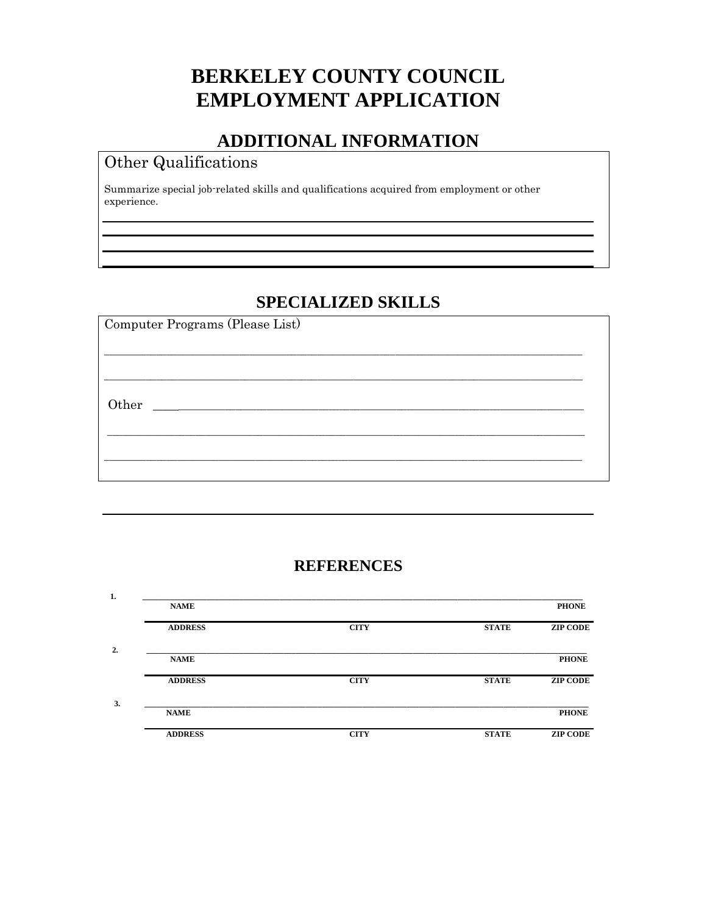## **BERKELEY COUNTY COUNCIL EMPLOYMENT APPLICATION**

#### **ADDITIONAL INFORMATION**

#### Other Qualifications

Summarize special job-related skills and qualifications acquired from employment or other experience.

#### **SPECIALIZED SKILLS**

| Computer Programs (Please List) |  |
|---------------------------------|--|
|                                 |  |
|                                 |  |
|                                 |  |
|                                 |  |

#### **REFERENCES**

| 1. |                |             |              |                 |
|----|----------------|-------------|--------------|-----------------|
|    | <b>NAME</b>    |             |              | <b>PHONE</b>    |
|    | <b>ADDRESS</b> | <b>CITY</b> | <b>STATE</b> | <b>ZIP CODE</b> |
| 2. |                |             |              |                 |
|    | <b>NAME</b>    |             |              | <b>PHONE</b>    |
|    | <b>ADDRESS</b> | <b>CITY</b> | <b>STATE</b> | <b>ZIP CODE</b> |
| 3. | <b>NAME</b>    |             |              | <b>PHONE</b>    |
|    |                |             |              |                 |
|    | <b>ADDRESS</b> | <b>CITY</b> | <b>STATE</b> | <b>ZIP CODE</b> |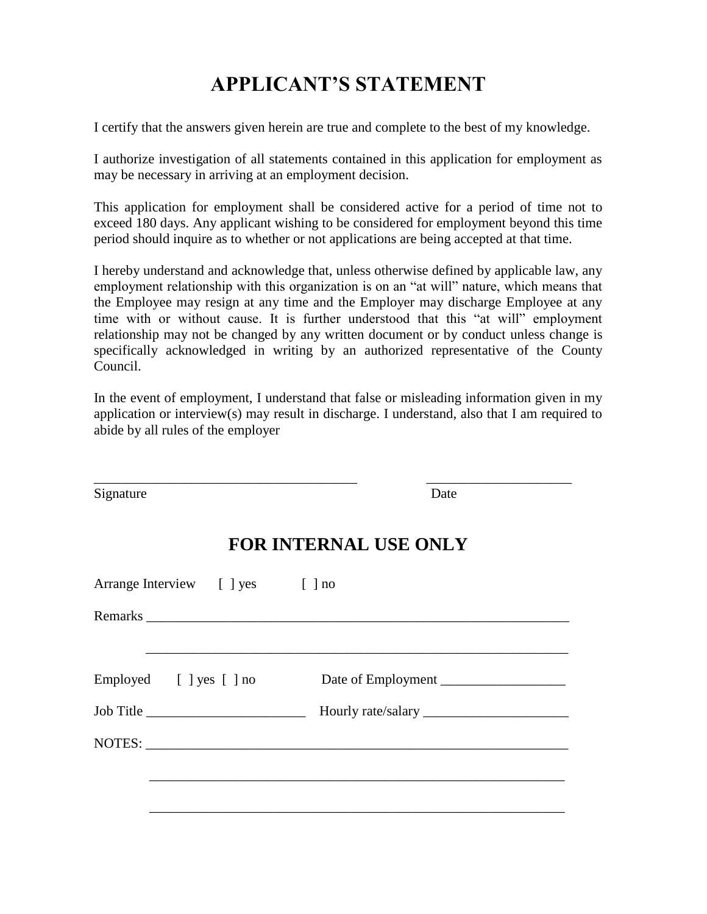## **APPLICANT'S STATEMENT**

I certify that the answers given herein are true and complete to the best of my knowledge.

I authorize investigation of all statements contained in this application for employment as may be necessary in arriving at an employment decision.

This application for employment shall be considered active for a period of time not to exceed 180 days. Any applicant wishing to be considered for employment beyond this time period should inquire as to whether or not applications are being accepted at that time.

I hereby understand and acknowledge that, unless otherwise defined by applicable law, any employment relationship with this organization is on an "at will" nature, which means that the Employee may resign at any time and the Employer may discharge Employee at any time with or without cause. It is further understood that this "at will" employment relationship may not be changed by any written document or by conduct unless change is specifically acknowledged in writing by an authorized representative of the County Council.

In the event of employment, I understand that false or misleading information given in my application or interview(s) may result in discharge. I understand, also that I am required to abide by all rules of the employer

| Signature                        | Date                         |
|----------------------------------|------------------------------|
|                                  | <b>FOR INTERNAL USE ONLY</b> |
| Arrange Interview [ ] yes [ ] no |                              |
|                                  |                              |
| Employed [ ] yes [ ] no          | Date of Employment           |
|                                  |                              |
|                                  |                              |
|                                  |                              |
|                                  |                              |